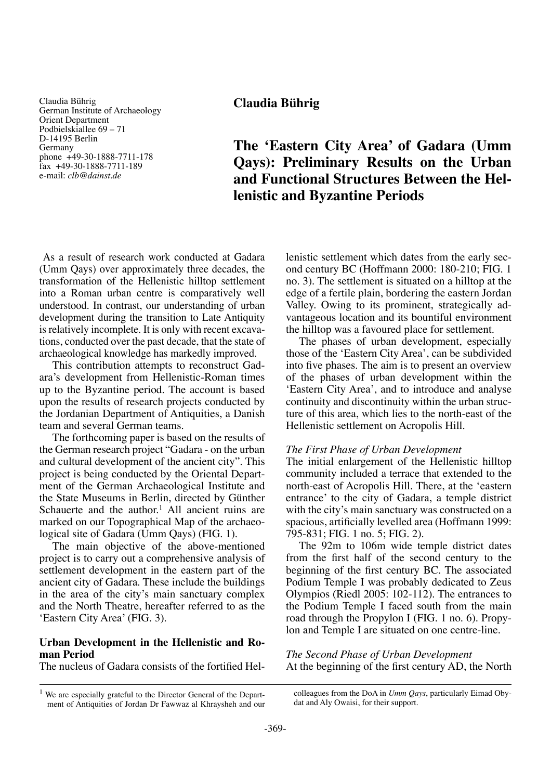Claudia Bührig German Institute of Archaeology Orient Department Podbielskiallee 69 – 71 D-14195 Berlin Germany phone +49-30-1888-7711-178 fax +49-30-1888-7711-189 e-mail: *clb@dainst.de*

**Claudia Bührig**

# **The 'Eastern City Area' of Gadara (Umm Qays): Preliminary Results on the Urban and Functional Structures Between the Hellenistic and Byzantine Periods**

 As a result of research work conducted at Gadara (Umm Qays) over approximately three decades, the transformation of the Hellenistic hilltop settlement into a Roman urban centre is comparatively well understood. In contrast, our understanding of urban development during the transition to Late Antiquity is relatively incomplete. It is only with recent excavations, conducted over the past decade, that the state of archaeological knowledge has markedly improved.

This contribution attempts to reconstruct Gadara's development from Hellenistic-Roman times up to the Byzantine period. The account is based upon the results of research projects conducted by the Jordanian Department of Antiquities, a Danish team and several German teams.

The forthcoming paper is based on the results of the German research project "Gadara - on the urban and cultural development of the ancient city". This project is being conducted by the Oriental Department of the German Archaeological Institute and the State Museums in Berlin, directed by Günther Schauerte and the author.<sup>1</sup> All ancient ruins are marked on our Topographical Map of the archaeological site of Gadara (Umm Qays) (FIG. 1).

The main objective of the above-mentioned project is to carry out a comprehensive analysis of settlement development in the eastern part of the ancient city of Gadara. These include the buildings in the area of the city's main sanctuary complex and the North Theatre, hereafter referred to as the 'Eastern City Area' (FIG. 3).

# **Urban Development in the Hellenistic and Roman Period**

The nucleus of Gadara consists of the fortified Hel-

lenistic settlement which dates from the early second century BC (Hoffmann 2000: 180-210; FIG. 1 no. 3). The settlement is situated on a hilltop at the edge of a fertile plain, bordering the eastern Jordan Valley. Owing to its prominent, strategically advantageous location and its bountiful environment the hilltop was a favoured place for settlement.

The phases of urban development, especially those of the 'Eastern City Area', can be subdivided into five phases. The aim is to present an overview of the phases of urban development within the 'Eastern City Area', and to introduce and analyse continuity and discontinuity within the urban structure of this area, which lies to the north-east of the Hellenistic settlement on Acropolis Hill.

### *The First Phase of Urban Development*

The initial enlargement of the Hellenistic hilltop community included a terrace that extended to the north-east of Acropolis Hill. There, at the 'eastern entrance' to the city of Gadara, a temple district with the city's main sanctuary was constructed on a spacious, artificially levelled area (Hoffmann 1999: 795-831; FIG. 1 no. 5; FIG. 2).

The 92m to 106m wide temple district dates from the first half of the second century to the beginning of the first century BC. The associated Podium Temple I was probably dedicated to Zeus Olympios (Riedl 2005: 102-112). The entrances to the Podium Temple I faced south from the main road through the Propylon I (FIG. 1 no. 6). Propylon and Temple I are situated on one centre-line.

*The Second Phase of Urban Development* At the beginning of the first century AD, the North

colleagues from the DoA in *Umm Qays*, particularly Eimad Obydat and Aly Owaisi, for their support.

<sup>1</sup> We are especially grateful to the Director General of the Department of Antiquities of Jordan Dr Fawwaz al Khraysheh and our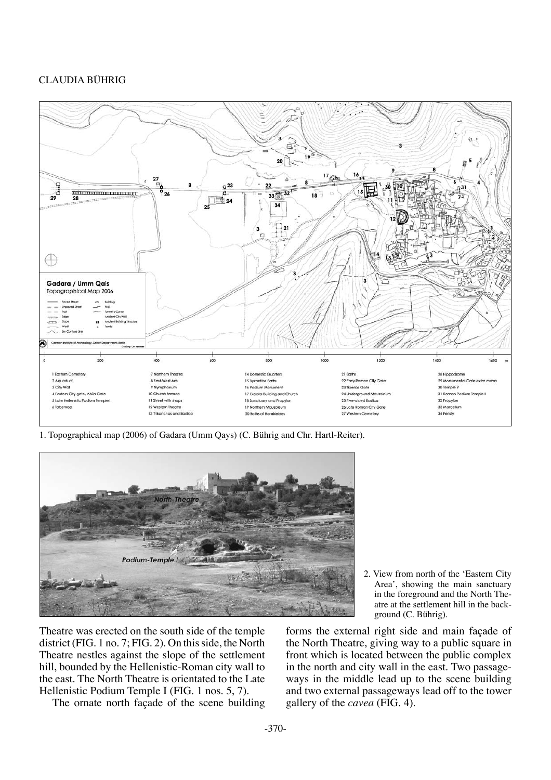

1. Topographical map (2006) of Gadara (Umm Qays) (C. Bührig and Chr. Hartl-Reiter).



Theatre was erected on the south side of the temple district (FIG. 1 no. 7; FIG. 2). On this side, the North Theatre nestles against the slope of the settlement hill, bounded by the Hellenistic-Roman city wall to the east. The North Theatre is orientated to the Late Hellenistic Podium Temple I (FIG. 1 nos. 5, 7).

The ornate north façade of the scene building

2. View from north of the 'Eastern City Area', showing the main sanctuary in the foreground and the North Theatre at the settlement hill in the background (C. Bührig).

forms the external right side and main façade of the North Theatre, giving way to a public square in front which is located between the public complex in the north and city wall in the east. Two passageways in the middle lead up to the scene building and two external passageways lead off to the tower gallery of the *cavea* (FIG. 4).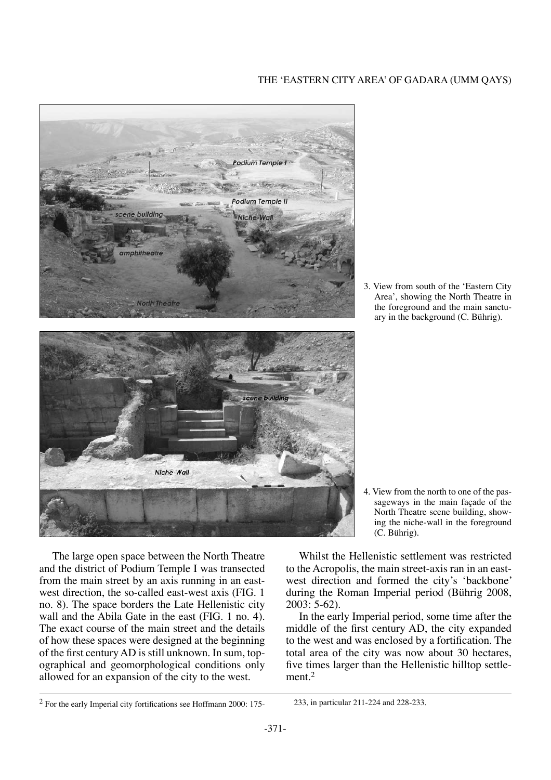



3. View from south of the 'Eastern City Area', showing the North Theatre in the foreground and the main sanctuary in the background (C. Bührig).



4. View from the north to one of the passageways in the main façade of the North Theatre scene building, showing the niche-wall in the foreground (C. Bührig).

The large open space between the North Theatre and the district of Podium Temple I was transected from the main street by an axis running in an eastwest direction, the so-called east-west axis (FIG. 1 no. 8). The space borders the Late Hellenistic city wall and the Abila Gate in the east (FIG. 1 no. 4). The exact course of the main street and the details of how these spaces were designed at the beginning of the first century AD is still unknown. In sum, topographical and geomorphological conditions only allowed for an expansion of the city to the west.

Whilst the Hellenistic settlement was restricted to the Acropolis, the main street-axis ran in an eastwest direction and formed the city's 'backbone' during the Roman Imperial period (Bührig 2008, 2003: 5-62).

In the early Imperial period, some time after the middle of the first century AD, the city expanded to the west and was enclosed by a fortification. The total area of the city was now about 30 hectares, five times larger than the Hellenistic hilltop settlement $2$ 

<sup>2</sup> For the early Imperial city fortifications see Hoffmann 2000: 175- 233, in particular 211-224 and 228-233.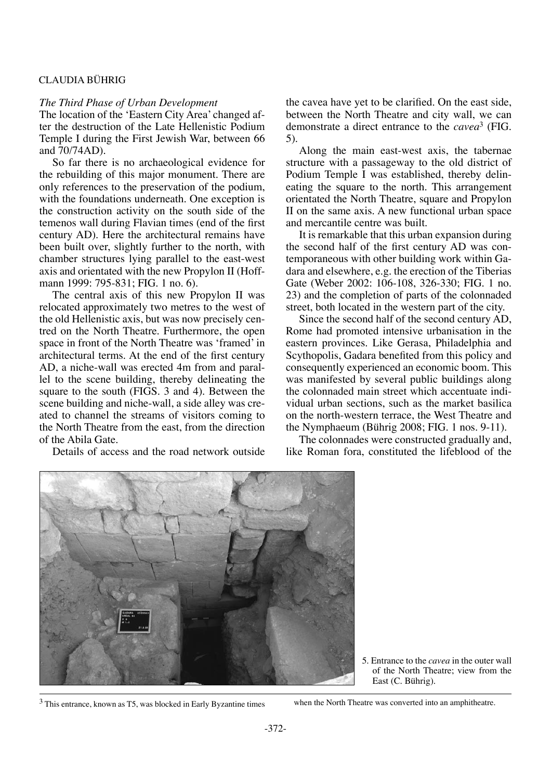#### *The Third Phase of Urban Development*

The location of the 'Eastern City Area' changed after the destruction of the Late Hellenistic Podium Temple I during the First Jewish War, between 66 and 70/74AD).

So far there is no archaeological evidence for the rebuilding of this major monument. There are only references to the preservation of the podium, with the foundations underneath. One exception is the construction activity on the south side of the temenos wall during Flavian times (end of the first century AD). Here the architectural remains have been built over, slightly further to the north, with chamber structures lying parallel to the east-west axis and orientated with the new Propylon II (Hoffmann 1999: 795-831; FIG. 1 no. 6).

The central axis of this new Propylon II was relocated approximately two metres to the west of the old Hellenistic axis, but was now precisely centred on the North Theatre. Furthermore, the open space in front of the North Theatre was 'framed' in architectural terms. At the end of the first century AD, a niche-wall was erected 4m from and parallel to the scene building, thereby delineating the square to the south (FIGS. 3 and 4). Between the scene building and niche-wall, a side alley was created to channel the streams of visitors coming to the North Theatre from the east, from the direction of the Abila Gate.

Details of access and the road network outside

the cavea have yet to be clarified. On the east side, between the North Theatre and city wall, we can demonstrate a direct entrance to the *cavea*3 (FIG. 5).

Along the main east-west axis, the tabernae structure with a passageway to the old district of Podium Temple I was established, thereby delineating the square to the north. This arrangement orientated the North Theatre, square and Propylon II on the same axis. A new functional urban space and mercantile centre was built.

It is remarkable that this urban expansion during the second half of the first century AD was contemporaneous with other building work within Gadara and elsewhere, e.g. the erection of the Tiberias Gate (Weber 2002: 106-108, 326-330; FIG. 1 no. 23) and the completion of parts of the colonnaded street, both located in the western part of the city.

Since the second half of the second century AD, Rome had promoted intensive urbanisation in the eastern provinces. Like Gerasa, Philadelphia and Scythopolis, Gadara benefited from this policy and consequently experienced an economic boom. This was manifested by several public buildings along the colonnaded main street which accentuate individual urban sections, such as the market basilica on the north-western terrace, the West Theatre and the Nymphaeum (Bührig 2008; FIG. 1 nos. 9-11).

The colonnades were constructed gradually and, like Roman fora, constituted the lifeblood of the



<sup>5.</sup> Entrance to the *cavea* in the outer wall of the North Theatre; view from the East (C. Bührig).

<sup>3</sup> This entrance, known as T5, was blocked in Early Byzantine times when the North Theatre was converted into an amphitheatre.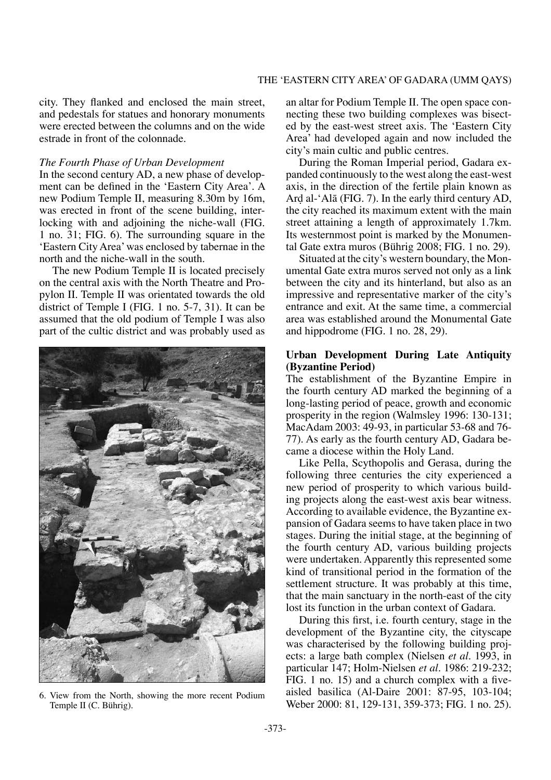city. They flanked and enclosed the main street, and pedestals for statues and honorary monuments were erected between the columns and on the wide estrade in front of the colonnade.

#### *The Fourth Phase of Urban Development*

In the second century AD, a new phase of development can be defined in the 'Eastern City Area'. A new Podium Temple II, measuring 8.30m by 16m, was erected in front of the scene building, interlocking with and adjoining the niche-wall (FIG. 1 no. 31; FIG. 6). The surrounding square in the 'Eastern City Area' was enclosed by tabernae in the north and the niche-wall in the south.

The new Podium Temple II is located precisely on the central axis with the North Theatre and Propylon II. Temple II was orientated towards the old district of Temple I (FIG. 1 no. 5-7, 31). It can be assumed that the old podium of Temple I was also part of the cultic district and was probably used as



Temple II (C. Bührig).

an altar for Podium Temple II. The open space connecting these two building complexes was bisected by the east-west street axis. The 'Eastern City Area' had developed again and now included the city's main cultic and public centres.

During the Roman Imperial period, Gadara expanded continuously to the west along the east-west axis, in the direction of the fertile plain known as Ar∂ al-'Alå (FIG. 7). In the early third century AD, the city reached its maximum extent with the main street attaining a length of approximately 1.7km. Its westernmost point is marked by the Monumental Gate extra muros (Bührig 2008; FIG. 1 no. 29).

Situated at the city's western boundary, the Monumental Gate extra muros served not only as a link between the city and its hinterland, but also as an impressive and representative marker of the city's entrance and exit. At the same time, a commercial area was established around the Monumental Gate and hippodrome (FIG. 1 no. 28, 29).

# **Urban Development During Late Antiquity (Byzantine Period)**

The establishment of the Byzantine Empire in the fourth century AD marked the beginning of a long-lasting period of peace, growth and economic prosperity in the region (Walmsley 1996: 130-131; MacAdam 2003: 49-93, in particular 53-68 and 76- 77). As early as the fourth century AD, Gadara became a diocese within the Holy Land.

Like Pella, Scythopolis and Gerasa, during the following three centuries the city experienced a new period of prosperity to which various building projects along the east-west axis bear witness. According to available evidence, the Byzantine expansion of Gadara seems to have taken place in two stages. During the initial stage, at the beginning of the fourth century AD, various building projects were undertaken. Apparently this represented some kind of transitional period in the formation of the settlement structure. It was probably at this time, that the main sanctuary in the north-east of the city lost its function in the urban context of Gadara.

During this first, i.e. fourth century, stage in the development of the Byzantine city, the cityscape was characterised by the following building projects: a large bath complex (Nielsen *et al.* 1993, in particular 147; Holm-Nielsen *et al.* 1986: 219-232; FIG. 1 no. 15) and a church complex with a fiveaisled basilica (Al-Daire 2001: 87-95, 103-104; 6. View from the North, showing the more recent Podium<br>
Weber 2000: 81, 129-131, 359-373; FIG. 1 no. 25).<br>
Weber 2000: 81, 129-131, 359-373; FIG. 1 no. 25).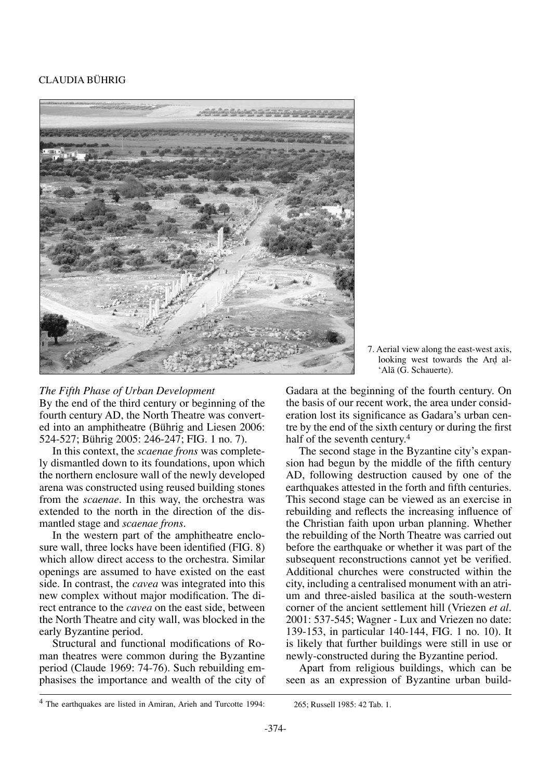

# *The Fifth Phase of Urban Development*

By the end of the third century or beginning of the fourth century AD, the North Theatre was converted into an amphitheatre (Bührig and Liesen 2006: 524-527; Bührig 2005: 246-247; FIG. 1 no. 7).

In this context, the *scaenae frons* was completely dismantled down to its foundations, upon which the northern enclosure wall of the newly developed arena was constructed using reused building stones from the *scaenae*. In this way, the orchestra was extended to the north in the direction of the dismantled stage and *scaenae frons*.

In the western part of the amphitheatre enclosure wall, three locks have been identified (FIG. 8) which allow direct access to the orchestra. Similar openings are assumed to have existed on the east side. In contrast, the *cavea* was integrated into this new complex without major modification. The direct entrance to the *cavea* on the east side, between the North Theatre and city wall, was blocked in the early Byzantine period.

Structural and functional modifications of Roman theatres were common during the Byzantine period (Claude 1969: 74-76). Such rebuilding emphasises the importance and wealth of the city of 7. Aerial view along the east-west axis, looking west towards the Ard al-'Alå (G. Schauerte).

Gadara at the beginning of the fourth century. On the basis of our recent work, the area under consideration lost its significance as Gadara's urban centre by the end of the sixth century or during the first half of the seventh century.<sup>4</sup>

The second stage in the Byzantine city's expansion had begun by the middle of the fifth century AD, following destruction caused by one of the earthquakes attested in the forth and fifth centuries. This second stage can be viewed as an exercise in rebuilding and reflects the increasing influence of the Christian faith upon urban planning. Whether the rebuilding of the North Theatre was carried out before the earthquake or whether it was part of the subsequent reconstructions cannot yet be verified. Additional churches were constructed within the city, including a centralised monument with an atrium and three-aisled basilica at the south-western corner of the ancient settlement hill (Vriezen *et al.* 2001: 537-545; Wagner - Lux and Vriezen no date: 139-153, in particular 140-144, FIG. 1 no. 10). It is likely that further buildings were still in use or newly-constructed during the Byzantine period.

Apart from religious buildings, which can be seen as an expression of Byzantine urban build-

<sup>4</sup> The earthquakes are listed in Amiran, Arieh and Turcotte 1994: 265; Russell 1985: 42 Tab. 1.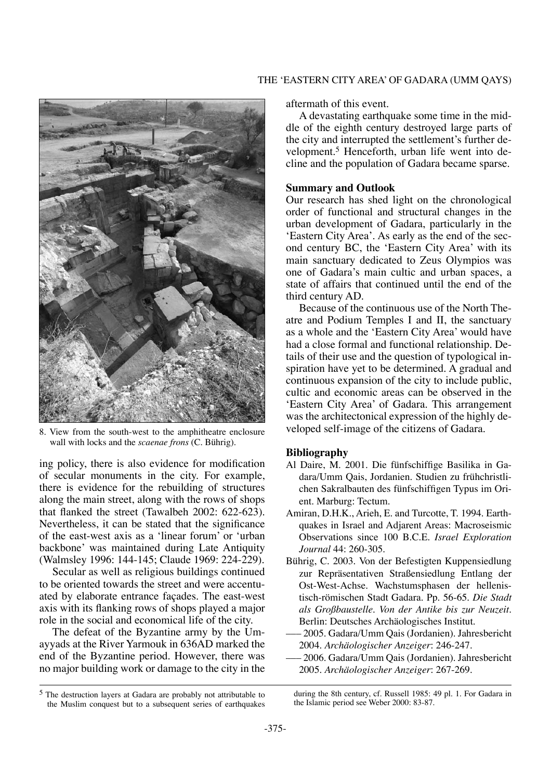

8. View from the south-west to the amphitheatre enclosure wall with locks and the *scaenae frons* (C. Bührig).

ing policy, there is also evidence for modification of secular monuments in the city. For example, there is evidence for the rebuilding of structures along the main street, along with the rows of shops that flanked the street (Tawalbeh 2002: 622-623). Nevertheless, it can be stated that the significance of the east-west axis as a 'linear forum' or 'urban backbone' was maintained during Late Antiquity (Walmsley 1996: 144-145; Claude 1969: 224-229).

Secular as well as religious buildings continued to be oriented towards the street and were accentuated by elaborate entrance façades. The east-west axis with its flanking rows of shops played a major role in the social and economical life of the city.

The defeat of the Byzantine army by the Umayyads at the River Yarmouk in 636AD marked the end of the Byzantine period. However, there was no major building work or damage to the city in the aftermath of this event.

A devastating earthquake some time in the middle of the eighth century destroyed large parts of the city and interrupted the settlement's further development.5 Henceforth, urban life went into decline and the population of Gadara became sparse.

#### **Summary and Outlook**

Our research has shed light on the chronological order of functional and structural changes in the urban development of Gadara, particularly in the 'Eastern City Area'. As early as the end of the second century BC, the 'Eastern City Area' with its main sanctuary dedicated to Zeus Olympios was one of Gadara's main cultic and urban spaces, a state of affairs that continued until the end of the third century AD.

Because of the continuous use of the North Theatre and Podium Temples I and II, the sanctuary as a whole and the 'Eastern City Area' would have had a close formal and functional relationship. Details of their use and the question of typological inspiration have yet to be determined. A gradual and continuous expansion of the city to include public, cultic and economic areas can be observed in the 'Eastern City Area' of Gadara. This arrangement was the architectonical expression of the highly developed self-image of the citizens of Gadara.

#### **Bibliography**

- Al Daire, M. 2001. Die fünfschiffige Basilika in Gadara/Umm Qais, Jordanien. Studien zu frühchristlichen Sakralbauten des fünfschiffigen Typus im Orient. Marburg: Tectum.
- Amiran, D.H.K., Arieh, E. and Turcotte, T. 1994. Earthquakes in Israel and Adjarent Areas: Macroseismic Observations since 100 B.C.E. *Israel Exploration Journal* 44: 260-305.
- Bührig, C. 2003. Von der Befestigten Kuppensiedlung zur Repräsentativen Straßensiedlung Entlang der Ost-West-Achse. Wachstumsphasen der hellenistisch-römischen Stadt Gadara. Pp. 56-65. *Die Stadt als Großbaustelle. Von der Antike bis zur Neuzeit*. Berlin: Deutsches Archäologisches Institut.
- ––– 2005. Gadara/Umm Qais (Jordanien). Jahresbericht 2004. *Archäologischer Anzeiger*: 246-247.
- ––– 2006. Gadara/Umm Qais (Jordanien). Jahresbericht 2005. *Archäologischer Anzeiger*: 267-269.

during the 8th century, cf. Russell 1985: 49 pl. 1. For Gadara in the Islamic period see Weber 2000: 83-87.

# The 'Eastern City Area' of Gadara (Umm Qays)

<sup>5</sup> The destruction layers at Gadara are probably not attributable to the Muslim conquest but to a subsequent series of earthquakes